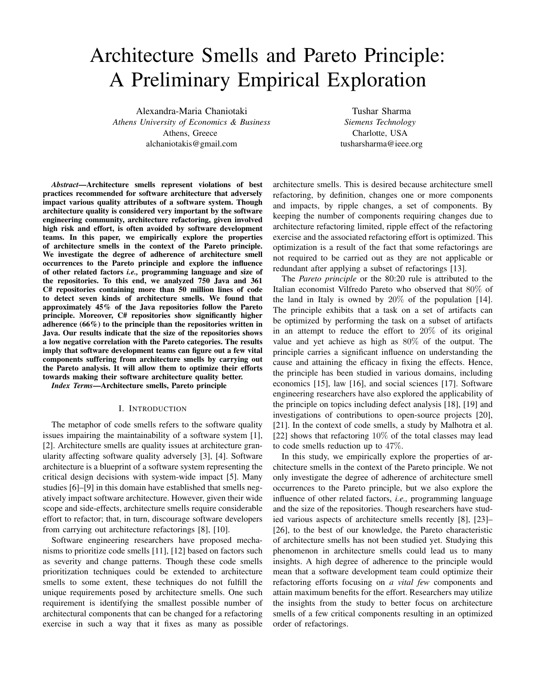# Architecture Smells and Pareto Principle: A Preliminary Empirical Exploration

Alexandra-Maria Chaniotaki *Athens University of Economics & Business* Athens, Greece alchaniotakis@gmail.com

Tushar Sharma *Siemens Technology* Charlotte, USA tusharsharma@ieee.org

*Abstract*—Architecture smells represent violations of best practices recommended for software architecture that adversely impact various quality attributes of a software system. Though architecture quality is considered very important by the software engineering community, architecture refactoring, given involved high risk and effort, is often avoided by software development teams. In this paper, we empirically explore the properties of architecture smells in the context of the Pareto principle. We investigate the degree of adherence of architecture smell occurrences to the Pareto principle and explore the influence of other related factors *i.e.,* programming language and size of the repositories. To this end, we analyzed 750 Java and 361 C# repositories containing more than 50 million lines of code to detect seven kinds of architecture smells. We found that approximately 45% of the Java repositories follow the Pareto principle. Moreover, C# repositories show significantly higher adherence (66%) to the principle than the repositories written in Java. Our results indicate that the size of the repositories shows a low negative correlation with the Pareto categories. The results imply that software development teams can figure out a few vital components suffering from architecture smells by carrying out the Pareto analysis. It will allow them to optimize their efforts towards making their software architecture quality better.

*Index Terms*—Architecture smells, Pareto principle

#### I. INTRODUCTION

The metaphor of code smells refers to the software quality issues impairing the maintainability of a software system [1], [2]. Architecture smells are quality issues at architecture granularity affecting software quality adversely [3], [4]. Software architecture is a blueprint of a software system representing the critical design decisions with system-wide impact [5]. Many studies [6]–[9] in this domain have established that smells negatively impact software architecture. However, given their wide scope and side-effects, architecture smells require considerable effort to refactor; that, in turn, discourage software developers from carrying out architecture refactorings [8], [10].

Software engineering researchers have proposed mechanisms to prioritize code smells [11], [12] based on factors such as severity and change patterns. Though these code smells prioritization techniques could be extended to architecture smells to some extent, these techniques do not fulfill the unique requirements posed by architecture smells. One such requirement is identifying the smallest possible number of architectural components that can be changed for a refactoring exercise in such a way that it fixes as many as possible

architecture smells. This is desired because architecture smell refactoring, by definition, changes one or more components and impacts, by ripple changes, a set of components. By keeping the number of components requiring changes due to architecture refactoring limited, ripple effect of the refactoring exercise and the associated refactoring effort is optimized. This optimization is a result of the fact that some refactorings are not required to be carried out as they are not applicable or redundant after applying a subset of refactorings [13].

The *Pareto principle* or the 80:20 rule is attributed to the Italian economist Vilfredo Pareto who observed that 80% of the land in Italy is owned by  $20\%$  of the population [14]. The principle exhibits that a task on a set of artifacts can be optimized by performing the task on a subset of artifacts in an attempt to reduce the effort to 20% of its original value and yet achieve as high as 80% of the output. The principle carries a significant influence on understanding the cause and attaining the efficacy in fixing the effects. Hence, the principle has been studied in various domains, including economics [15], law [16], and social sciences [17]. Software engineering researchers have also explored the applicability of the principle on topics including defect analysis [18], [19] and investigations of contributions to open-source projects [20], [21]. In the context of code smells, a study by Malhotra et al. [22] shows that refactoring 10% of the total classes may lead to code smells reduction up to 47%.

In this study, we empirically explore the properties of architecture smells in the context of the Pareto principle. We not only investigate the degree of adherence of architecture smell occurrences to the Pareto principle, but we also explore the influence of other related factors, *i.e.,* programming language and the size of the repositories. Though researchers have studied various aspects of architecture smells recently [8], [23]– [26], to the best of our knowledge, the Pareto characteristic of architecture smells has not been studied yet. Studying this phenomenon in architecture smells could lead us to many insights. A high degree of adherence to the principle would mean that a software development team could optimize their refactoring efforts focusing on *a vital few* components and attain maximum benefits for the effort. Researchers may utilize the insights from the study to better focus on architecture smells of a few critical components resulting in an optimized order of refactorings.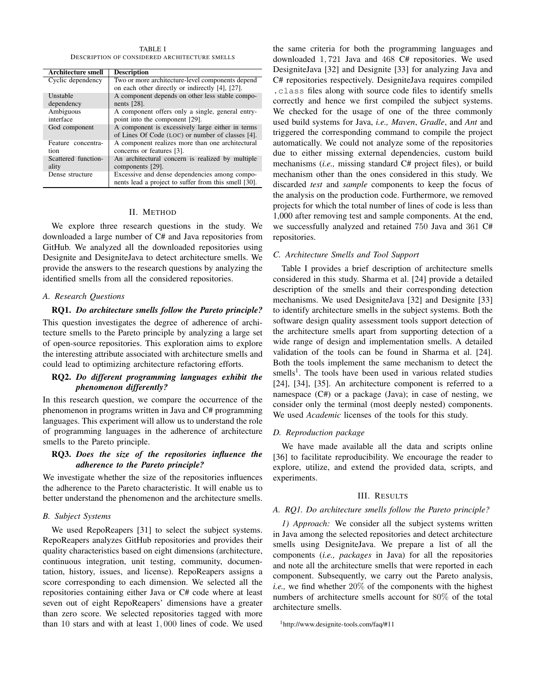TABLE I DESCRIPTION OF CONSIDERED ARCHITECTURE SMELLS

| <b>Architecture smell</b> | <b>Description</b>                                   |
|---------------------------|------------------------------------------------------|
| Cyclic dependency         | Two or more architecture-level components depend     |
|                           | on each other directly or indirectly [4], [27].      |
| Unstable                  | A component depends on other less stable compo-      |
| dependency                | nents $[28]$ .                                       |
| Ambiguous                 | A component offers only a single, general entry-     |
| interface                 | point into the component [29].                       |
| God component             | A component is excessively large either in terms     |
|                           | of Lines Of Code (LOC) or number of classes [4].     |
| Feature concentra-        | A component realizes more than one architectural     |
| tion                      | concerns or features [3].                            |
| Scattered function-       | An architectural concern is realized by multiple     |
| ality                     | components [29].                                     |
| Dense structure           | Excessive and dense dependencies among compo-        |
|                           | nents lead a project to suffer from this smell [30]. |

#### II. METHOD

We explore three research questions in the study. We downloaded a large number of C# and Java repositories from GitHub. We analyzed all the downloaded repositories using Designite and DesigniteJava to detect architecture smells. We provide the answers to the research questions by analyzing the identified smells from all the considered repositories.

#### *A. Research Questions*

RQ1. *Do architecture smells follow the Pareto principle?* This question investigates the degree of adherence of architecture smells to the Pareto principle by analyzing a large set of open-source repositories. This exploration aims to explore the interesting attribute associated with architecture smells and could lead to optimizing architecture refactoring efforts.

## RQ2. *Do different programming languages exhibit the phenomenon differently?*

In this research question, we compare the occurrence of the phenomenon in programs written in Java and C# programming languages. This experiment will allow us to understand the role of programming languages in the adherence of architecture smells to the Pareto principle.

## RQ3. *Does the size of the repositories influence the adherence to the Pareto principle?*

We investigate whether the size of the repositories influences the adherence to the Pareto characteristic. It will enable us to better understand the phenomenon and the architecture smells.

#### *B. Subject Systems*

We used RepoReapers [31] to select the subject systems. RepoReapers analyzes GitHub repositories and provides their quality characteristics based on eight dimensions (architecture, continuous integration, unit testing, community, documentation, history, issues, and license). RepoReapers assigns a score corresponding to each dimension. We selected all the repositories containing either Java or C# code where at least seven out of eight RepoReapers' dimensions have a greater than zero score. We selected repositories tagged with more than 10 stars and with at least 1, 000 lines of code. We used

the same criteria for both the programming languages and downloaded 1, 721 Java and 468 C# repositories. We used DesigniteJava [32] and Designite [33] for analyzing Java and C# repositories respectively. DesigniteJava requires compiled .class files along with source code files to identify smells correctly and hence we first compiled the subject systems. We checked for the usage of one of the three commonly used build systems for Java, *i.e., Maven*, *Gradle*, and *Ant* and triggered the corresponding command to compile the project automatically. We could not analyze some of the repositories due to either missing external dependencies, custom build mechanisms (*i.e.,* missing standard C# project files), or build mechanism other than the ones considered in this study. We discarded *test* and *sample* components to keep the focus of the analysis on the production code. Furthermore, we removed projects for which the total number of lines of code is less than 1,000 after removing test and sample components. At the end, we successfully analyzed and retained 750 Java and 361 C# repositories.

### *C. Architecture Smells and Tool Support*

Table I provides a brief description of architecture smells considered in this study. Sharma et al. [24] provide a detailed description of the smells and their corresponding detection mechanisms. We used DesigniteJava [32] and Designite [33] to identify architecture smells in the subject systems. Both the software design quality assessment tools support detection of the architecture smells apart from supporting detection of a wide range of design and implementation smells. A detailed validation of the tools can be found in Sharma et al. [24]. Both the tools implement the same mechanism to detect the  $smells<sup>1</sup>$ . The tools have been used in various related studies [24], [34], [35]. An architecture component is referred to a namespace (C#) or a package (Java); in case of nesting, we consider only the terminal (most deeply nested) components. We used *Academic* licenses of the tools for this study.

#### *D. Reproduction package*

We have made available all the data and scripts online [36] to facilitate reproducibility. We encourage the reader to explore, utilize, and extend the provided data, scripts, and experiments.

#### III. RESULTS

## *A. RQ1. Do architecture smells follow the Pareto principle?*

*1) Approach:* We consider all the subject systems written in Java among the selected repositories and detect architecture smells using DesigniteJava. We prepare a list of all the components (*i.e., packages* in Java) for all the repositories and note all the architecture smells that were reported in each component. Subsequently, we carry out the Pareto analysis, *i.e.,* we find whether 20% of the components with the highest numbers of architecture smells account for 80% of the total architecture smells.

```
1http://www.designite-tools.com/faq/#11
```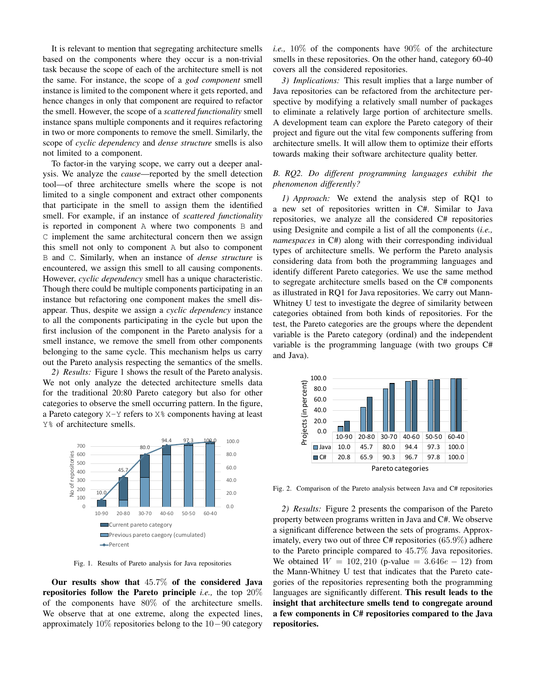It is relevant to mention that segregating architecture smells based on the components where they occur is a non-trivial task because the scope of each of the architecture smell is not the same. For instance, the scope of a *god component* smell instance is limited to the component where it gets reported, and hence changes in only that component are required to refactor the smell. However, the scope of a *scattered functionality* smell instance spans multiple components and it requires refactoring in two or more components to remove the smell. Similarly, the scope of *cyclic dependency* and *dense structure* smells is also not limited to a component.

To factor-in the varying scope, we carry out a deeper analysis. We analyze the *cause*—reported by the smell detection tool—of three architecture smells where the scope is not limited to a single component and extract other components that participate in the smell to assign them the identified smell. For example, if an instance of *scattered functionality* is reported in component A where two components B and C implement the same architectural concern then we assign this smell not only to component A but also to component B and C. Similarly, when an instance of *dense structure* is encountered, we assign this smell to all causing components. However, *cyclic dependency* smell has a unique characteristic. Though there could be multiple components participating in an instance but refactoring one component makes the smell disappear. Thus, despite we assign a *cyclic dependency* instance to all the components participating in the cycle but upon the first inclusion of the component in the Pareto analysis for a smell instance, we remove the smell from other components belonging to the same cycle. This mechanism helps us carry out the Pareto analysis respecting the semantics of the smells.

*2) Results:* Figure 1 shows the result of the Pareto analysis. We not only analyze the detected architecture smells data for the traditional 20:80 Pareto category but also for other categories to observe the smell occurring pattern. In the figure, a Pareto category X-Y refers to X% components having at least Y% of architecture smells.



Fig. 1. Results of Pareto analysis for Java repositories

Our results show that  $45.7\%$  of the considered Java repositories follow the Pareto principle *i.e.,* the top 20% of the components have 80% of the architecture smells. We observe that at one extreme, along the expected lines, approximately 10% repositories belong to the 10−90 category *i.e.,* 10% of the components have 90% of the architecture smells in these repositories. On the other hand, category 60-40 covers all the considered repositories.

*3) Implications:* This result implies that a large number of Java repositories can be refactored from the architecture perspective by modifying a relatively small number of packages to eliminate a relatively large portion of architecture smells. A development team can explore the Pareto category of their project and figure out the vital few components suffering from architecture smells. It will allow them to optimize their efforts towards making their software architecture quality better.

## *B. RQ2. Do different programming languages exhibit the phenomenon differently?*

*1) Approach:* We extend the analysis step of RQ1 to a new set of repositories written in C#. Similar to Java repositories, we analyze all the considered C# repositories using Designite and compile a list of all the components (*i.e., namespaces* in C#) along with their corresponding individual types of architecture smells. We perform the Pareto analysis considering data from both the programming languages and identify different Pareto categories. We use the same method to segregate architecture smells based on the C# components as illustrated in RQ1 for Java repositories. We carry out Mann-Whitney U test to investigate the degree of similarity between categories obtained from both kinds of repositories. For the test, the Pareto categories are the groups where the dependent variable is the Pareto category (ordinal) and the independent variable is the programming language (with two groups C# and Java).



Fig. 2. Comparison of the Pareto analysis between Java and C# repositories

*2) Results:* Figure 2 presents the comparison of the Pareto property between programs written in Java and C#. We observe a significant difference between the sets of programs. Approximately, every two out of three C# repositories (65.9%) adhere to the Pareto principle compared to 45.7% Java repositories. We obtained  $W = 102,210$  (p-value = 3.646e – 12) from the Mann-Whitney U test that indicates that the Pareto categories of the repositories representing both the programming languages are significantly different. This result leads to the insight that architecture smells tend to congregate around a few components in C# repositories compared to the Java repositories.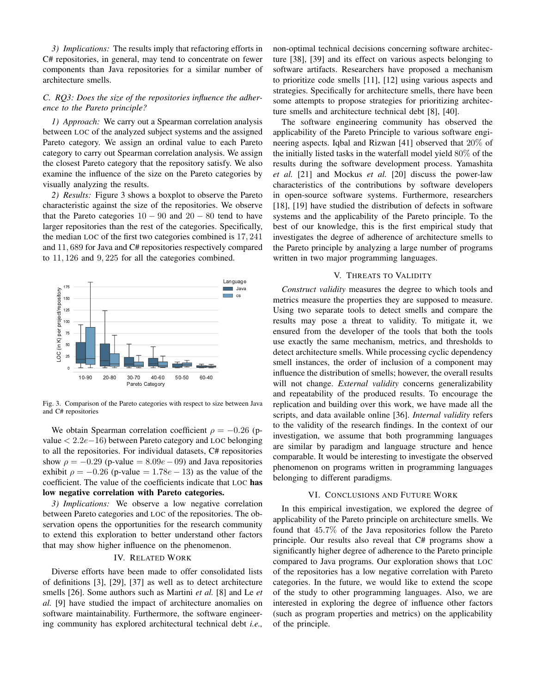*3) Implications:* The results imply that refactoring efforts in C# repositories, in general, may tend to concentrate on fewer components than Java repositories for a similar number of architecture smells.

## *C. RQ3: Does the size of the repositories influence the adherence to the Pareto principle?*

*1) Approach:* We carry out a Spearman correlation analysis between LOC of the analyzed subject systems and the assigned Pareto category. We assign an ordinal value to each Pareto category to carry out Spearman correlation analysis. We assign the closest Pareto category that the repository satisfy. We also examine the influence of the size on the Pareto categories by visually analyzing the results.

*2) Results:* Figure 3 shows a boxplot to observe the Pareto characteristic against the size of the repositories. We observe that the Pareto categories  $10 - 90$  and  $20 - 80$  tend to have larger repositories than the rest of the categories. Specifically, the median LOC of the first two categories combined is 17, 241 and 11, 689 for Java and C# repositories respectively compared to 11, 126 and 9, 225 for all the categories combined.



Fig. 3. Comparison of the Pareto categories with respect to size between Java and C# repositories

We obtain Spearman correlation coefficient  $\rho = -0.26$  (pvalue < 2.2e−16) between Pareto category and LOC belonging to all the repositories. For individual datasets, C# repositories show  $\rho = -0.29$  (p-value = 8.09e – 09) and Java repositories exhibit  $\rho = -0.26$  (p-value = 1.78e – 13) as the value of the coefficient. The value of the coefficients indicate that LOC has low negative correlation with Pareto categories.

*3) Implications:* We observe a low negative correlation between Pareto categories and LOC of the repositories. The observation opens the opportunities for the research community to extend this exploration to better understand other factors that may show higher influence on the phenomenon.

## IV. RELATED WORK

Diverse efforts have been made to offer consolidated lists of definitions [3], [29], [37] as well as to detect architecture smells [26]. Some authors such as Martini *et al.* [8] and Le *et al.* [9] have studied the impact of architecture anomalies on software maintainability. Furthermore, the software engineering community has explored architectural technical debt *i.e.,* non-optimal technical decisions concerning software architecture [38], [39] and its effect on various aspects belonging to software artifacts. Researchers have proposed a mechanism to prioritize code smells [11], [12] using various aspects and strategies. Specifically for architecture smells, there have been some attempts to propose strategies for prioritizing architecture smells and architecture technical debt [8], [40].

The software engineering community has observed the applicability of the Pareto Principle to various software engineering aspects. Iqbal and Rizwan [41] observed that 20% of the initially listed tasks in the waterfall model yield 80% of the results during the software development process. Yamashita *et al.* [21] and Mockus *et al.* [20] discuss the power-law characteristics of the contributions by software developers in open-source software systems. Furthermore, researchers [18], [19] have studied the distribution of defects in software systems and the applicability of the Pareto principle. To the best of our knowledge, this is the first empirical study that investigates the degree of adherence of architecture smells to the Pareto principle by analyzing a large number of programs written in two major programming languages.

#### V. THREATS TO VALIDITY

*Construct validity* measures the degree to which tools and metrics measure the properties they are supposed to measure. Using two separate tools to detect smells and compare the results may pose a threat to validity. To mitigate it, we ensured from the developer of the tools that both the tools use exactly the same mechanism, metrics, and thresholds to detect architecture smells. While processing cyclic dependency smell instances, the order of inclusion of a component may influence the distribution of smells; however, the overall results will not change. *External validity* concerns generalizability and repeatability of the produced results. To encourage the replication and building over this work, we have made all the scripts, and data available online [36]. *Internal validity* refers to the validity of the research findings. In the context of our investigation, we assume that both programming languages are similar by paradigm and language structure and hence comparable. It would be interesting to investigate the observed phenomenon on programs written in programming languages belonging to different paradigms.

#### VI. CONCLUSIONS AND FUTURE WORK

In this empirical investigation, we explored the degree of applicability of the Pareto principle on architecture smells. We found that 45.7% of the Java repositories follow the Pareto principle. Our results also reveal that C# programs show a significantly higher degree of adherence to the Pareto principle compared to Java programs. Our exploration shows that LOC of the repositories has a low negative correlation with Pareto categories. In the future, we would like to extend the scope of the study to other programming languages. Also, we are interested in exploring the degree of influence other factors (such as program properties and metrics) on the applicability of the principle.